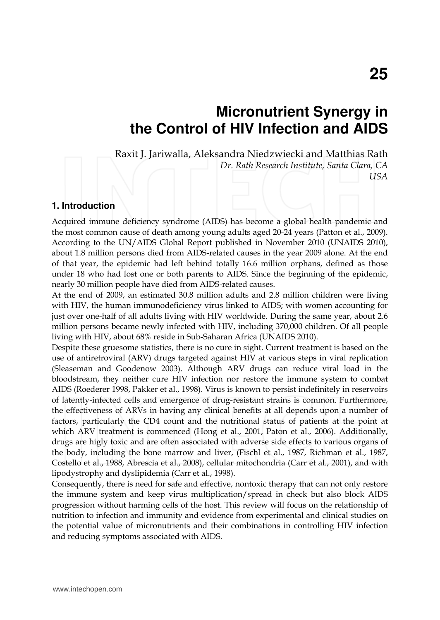# **Micronutrient Synergy in the Control of HIV Infection and AIDS**

Raxit J. Jariwalla, Aleksandra Niedzwiecki and Matthias Rath

*Dr. Rath Research Institute, Santa Clara, CA USA* 

## **1. Introduction**

Acquired immune deficiency syndrome (AIDS) has become a global health pandemic and the most common cause of death among young adults aged 20-24 years (Patton et al., 2009). According to the UN/AIDS Global Report published in November 2010 (UNAIDS 2010), about 1.8 million persons died from AIDS-related causes in the year 2009 alone. At the end of that year, the epidemic had left behind totally 16.6 million orphans, defined as those under 18 who had lost one or both parents to AIDS. Since the beginning of the epidemic, nearly 30 million people have died from AIDS-related causes.

At the end of 2009, an estimated 30.8 million adults and 2.8 million children were living with HIV, the human immunodeficiency virus linked to AIDS; with women accounting for just over one-half of all adults living with HIV worldwide. During the same year, about 2.6 million persons became newly infected with HIV, including 370,000 children. Of all people living with HIV, about 68% reside in Sub-Saharan Africa (UNAIDS 2010).

Despite these gruesome statistics, there is no cure in sight. Current treatment is based on the use of antiretroviral (ARV) drugs targeted against HIV at various steps in viral replication (Sleaseman and Goodenow 2003). Although ARV drugs can reduce viral load in the bloodstream, they neither cure HIV infection nor restore the immune system to combat AIDS (Roederer 1998, Pakker et al., 1998). Virus is known to persist indefinitely in reservoirs of latently-infected cells and emergence of drug-resistant strains is common. Furthermore, the effectiveness of ARVs in having any clinical benefits at all depends upon a number of factors, particularly the CD4 count and the nutritional status of patients at the point at which ARV treatment is commenced (Hong et al., 2001, Paton et al., 2006). Additionally, drugs are higly toxic and are often associated with adverse side effects to various organs of the body, including the bone marrow and liver, (Fischl et al., 1987, Richman et al., 1987, Costello et al., 1988, Abrescia et al., 2008), cellular mitochondria (Carr et al., 2001), and with lipodystrophy and dyslipidemia (Carr et al., 1998).

Consequently, there is need for safe and effective, nontoxic therapy that can not only restore the immune system and keep virus multiplication/spread in check but also block AIDS progression without harming cells of the host. This review will focus on the relationship of nutrition to infection and immunity and evidence from experimental and clinical studies on the potential value of micronutrients and their combinations in controlling HIV infection and reducing symptoms associated with AIDS.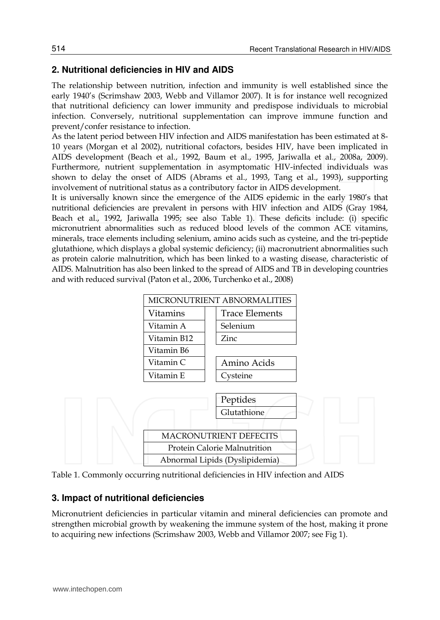# **2. Nutritional deficiencies in HIV and AIDS**

The relationship between nutrition, infection and immunity is well established since the early 1940's (Scrimshaw 2003, Webb and Villamor 2007). It is for instance well recognized that nutritional deficiency can lower immunity and predispose individuals to microbial infection. Conversely, nutritional supplementation can improve immune function and prevent/confer resistance to infection.

As the latent period between HIV infection and AIDS manifestation has been estimated at 8- 10 years (Morgan et al 2002), nutritional cofactors, besides HIV, have been implicated in AIDS development (Beach et al., 1992, Baum et al., 1995, Jariwalla et al., 2008a, 2009). Furthermore, nutrient supplementation in asymptomatic HIV-infected individuals was shown to delay the onset of AIDS (Abrams et al., 1993, Tang et al., 1993), supporting involvement of nutritional status as a contributory factor in AIDS development.

It is universally known since the emergence of the AIDS epidemic in the early 1980's that nutritional deficiencies are prevalent in persons with HIV infection and AIDS (Gray 1984, Beach et al., 1992, Jariwalla 1995; see also Table 1). These deficits include: (i) specific micronutrient abnormalities such as reduced blood levels of the common ACE vitamins, minerals, trace elements including selenium, amino acids such as cysteine, and the tri-peptide glutathione, which displays a global systemic deficiency; (ii) macronutrient abnormalities such as protein calorie malnutrition, which has been linked to a wasting disease, characteristic of AIDS. Malnutrition has also been linked to the spread of AIDS and TB in developing countries and with reduced survival (Paton et al., 2006, Turchenko et al., 2008)





## **3. Impact of nutritional deficiencies**

Micronutrient deficiencies in particular vitamin and mineral deficiencies can promote and strengthen microbial growth by weakening the immune system of the host, making it prone to acquiring new infections (Scrimshaw 2003, Webb and Villamor 2007; see Fig 1).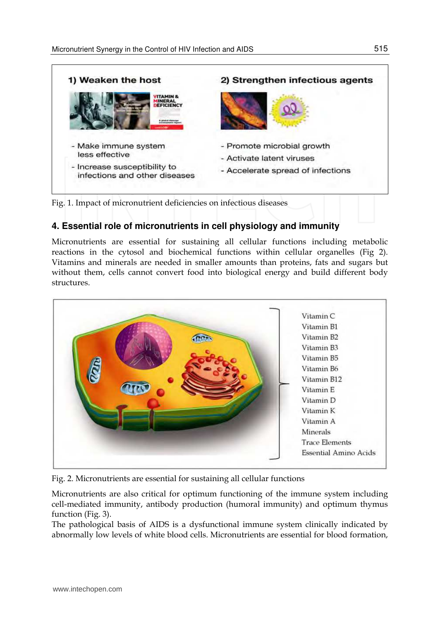

Fig. 1. Impact of micronutrient deficiencies on infectious diseases

# **4. Essential role of micronutrients in cell physiology and immunity**

Micronutrients are essential for sustaining all cellular functions including metabolic reactions in the cytosol and biochemical functions within cellular organelles (Fig 2). Vitamins and minerals are needed in smaller amounts than proteins, fats and sugars but without them, cells cannot convert food into biological energy and build different body structures.



Fig. 2. Micronutrients are essential for sustaining all cellular functions

Micronutrients are also critical for optimum functioning of the immune system including cell-mediated immunity, antibody production (humoral immunity) and optimum thymus function (Fig. 3).

The pathological basis of AIDS is a dysfunctional immune system clinically indicated by abnormally low levels of white blood cells. Micronutrients are essential for blood formation,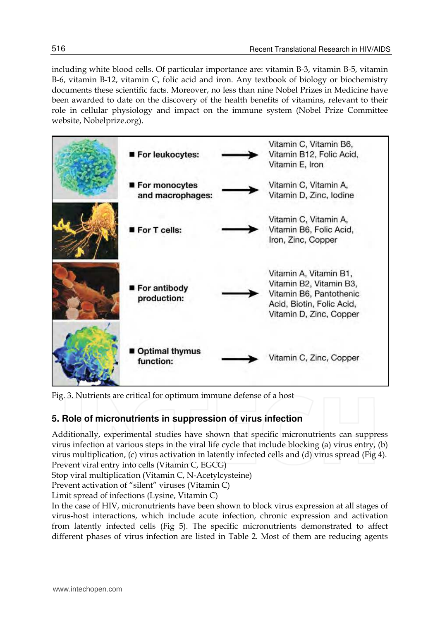including white blood cells. Of particular importance are: vitamin B-3, vitamin B-5, vitamin B-6, vitamin B-12, vitamin C, folic acid and iron. Any textbook of biology or biochemistry documents these scientific facts. Moreover, no less than nine Nobel Prizes in Medicine have been awarded to date on the discovery of the health benefits of vitamins, relevant to their role in cellular physiology and impact on the immune system (Nobel Prize Committee website, Nobelprize.org).



Fig. 3. Nutrients are critical for optimum immune defense of a host

# **5. Role of micronutrients in suppression of virus infection**

Additionally, experimental studies have shown that specific micronutrients can suppress virus infection at various steps in the viral life cycle that include blocking (a) virus entry, (b) virus multiplication, (c) virus activation in latently infected cells and (d) virus spread (Fig 4). Prevent viral entry into cells (Vitamin C, EGCG)

Stop viral multiplication (Vitamin C, N-Acetylcysteine)

Prevent activation of "silent" viruses (Vitamin C)

Limit spread of infections (Lysine, Vitamin C)

In the case of HIV, micronutrients have been shown to block virus expression at all stages of virus-host interactions, which include acute infection, chronic expression and activation from latently infected cells (Fig 5). The specific micronutrients demonstrated to affect different phases of virus infection are listed in Table 2. Most of them are reducing agents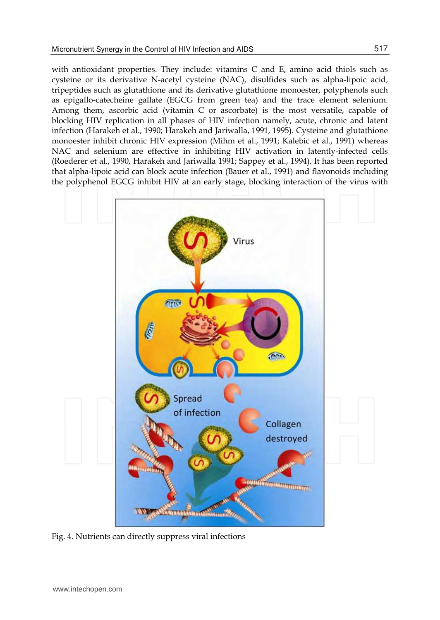with antioxidant properties. They include: vitamins C and E, amino acid thiols such as cysteine or its derivative N-acetyl cysteine (NAC), disulfides such as alpha-lipoic acid, tripeptides such as glutathione and its derivative glutathione monoester, polyphenols such as epigallo-catecheine gallate (EGCG from green tea) and the trace element selenium. Among them, ascorbic acid (vitamin C or ascorbate) is the most versatile, capable of blocking HIV replication in all phases of HIV infection namely, acute, chronic and latent infection (Harakeh et al., 1990; Harakeh and Jariwalla, 1991, 1995). Cysteine and glutathione monoester inhibit chronic HIV expression (Mihm et al., 1991; Kalebic et al., 1991) whereas NAC and selenium are effective in inhibiting HIV activation in latently-infected cells (Roederer et al., 1990, Harakeh and Jariwalla 1991; Sappey et al., 1994). It has been reported that alpha-lipoic acid can block acute infection (Bauer et al., 1991) and flavonoids including the polyphenol EGCG inhibit HIV at an early stage, blocking interaction of the virus with



Fig. 4. Nutrients can directly suppress viral infections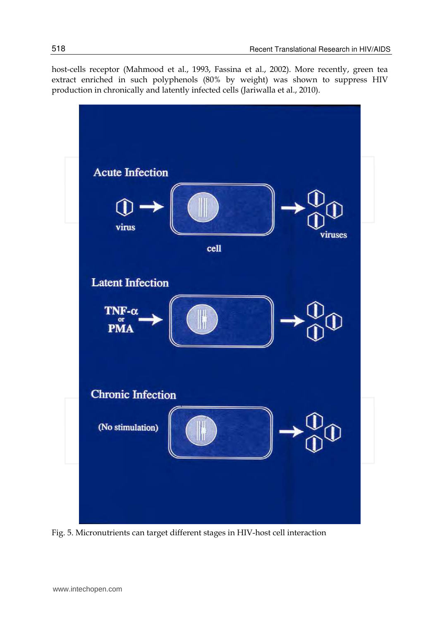host-cells receptor (Mahmood et al., 1993, Fassina et al., 2002). More recently, green tea extract enriched in such polyphenols (80% by weight) was shown to suppress HIV production in chronically and latently infected cells (Jariwalla et al., 2010).



Fig. 5. Micronutrients can target different stages in HIV-host cell interaction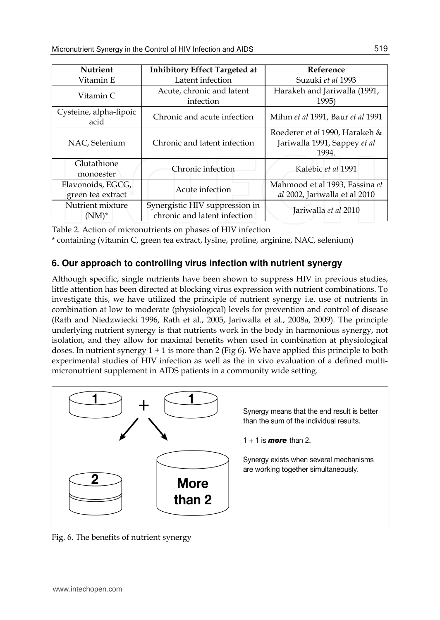| <b>Nutrient</b>                        | <b>Inhibitory Effect Targeted at</b>                           | Reference                                                               |  |
|----------------------------------------|----------------------------------------------------------------|-------------------------------------------------------------------------|--|
| Vitamin E                              | Latent infection                                               | Suzuki et al 1993                                                       |  |
| Vitamin C                              | Acute, chronic and latent<br>infection                         | Harakeh and Jariwalla (1991,<br>1995)                                   |  |
| Cysteine, alpha-lipoic<br>acid         | Chronic and acute infection                                    | Mihm et al 1991, Baur et al 1991                                        |  |
| NAC, Selenium                          | Chronic and latent infection                                   | Roederer et al 1990, Harakeh &<br>Jariwalla 1991, Sappey et al<br>1994. |  |
| Glutathione<br>monoester               | Chronic infection                                              | Kalebic et al 1991                                                      |  |
| Flavonoids, EGCG,<br>green tea extract | Acute infection                                                | Mahmood et al 1993, Fassina et<br>al 2002, Jariwalla et al 2010         |  |
| Nutrient mixture<br>$(NM)^*$           | Synergistic HIV suppression in<br>chronic and latent infection | Jariwalla et al 2010                                                    |  |

Table 2. Action of micronutrients on phases of HIV infection

\* containing (vitamin C, green tea extract, lysine, proline, arginine, NAC, selenium)

# **6. Our approach to controlling virus infection with nutrient synergy**

Although specific, single nutrients have been shown to suppress HIV in previous studies, little attention has been directed at blocking virus expression with nutrient combinations. To investigate this, we have utilized the principle of nutrient synergy i.e. use of nutrients in combination at low to moderate (physiological) levels for prevention and control of disease (Rath and Niedzwiecki 1996, Rath et al., 2005, Jariwalla et al., 2008a, 2009). The principle underlying nutrient synergy is that nutrients work in the body in harmonious synergy, not isolation, and they allow for maximal benefits when used in combination at physiological doses. In nutrient synergy  $1 + 1$  is more than 2 (Fig 6). We have applied this principle to both experimental studies of HIV infection as well as the in vivo evaluation of a defined multimicronutrient supplement in AIDS patients in a community wide setting.



Fig. 6. The benefits of nutrient synergy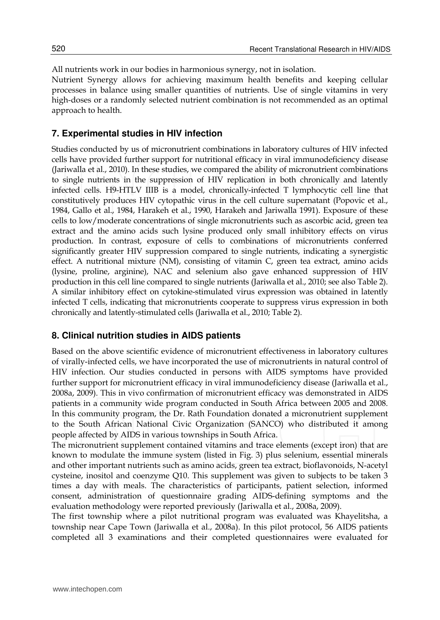All nutrients work in our bodies in harmonious synergy, not in isolation. Nutrient Synergy allows for achieving maximum health benefits and keeping cellular processes in balance using smaller quantities of nutrients. Use of single vitamins in very high-doses or a randomly selected nutrient combination is not recommended as an optimal approach to health.

## **7. Experimental studies in HIV infection**

Studies conducted by us of micronutrient combinations in laboratory cultures of HIV infected cells have provided further support for nutritional efficacy in viral immunodeficiency disease (Jariwalla et al., 2010). In these studies, we compared the ability of micronutrient combinations to single nutrients in the suppression of HIV replication in both chronically and latently infected cells. H9-HTLV IIIB is a model, chronically-infected T lymphocytic cell line that constitutively produces HIV cytopathic virus in the cell culture supernatant (Popovic et al., 1984, Gallo et al., 1984, Harakeh et al., 1990, Harakeh and Jariwalla 1991). Exposure of these cells to low/moderate concentrations of single micronutrients such as ascorbic acid, green tea extract and the amino acids such lysine produced only small inhibitory effects on virus production. In contrast, exposure of cells to combinations of micronutrients conferred significantly greater HIV suppression compared to single nutrients, indicating a synergistic effect. A nutritional mixture (NM), consisting of vitamin C, green tea extract, amino acids (lysine, proline, arginine), NAC and selenium also gave enhanced suppression of HIV production in this cell line compared to single nutrients (Jariwalla et al., 2010; see also Table 2). A similar inhibitory effect on cytokine-stimulated virus expression was obtained in latently infected T cells, indicating that micronutrients cooperate to suppress virus expression in both chronically and latently-stimulated cells (Jariwalla et al., 2010; Table 2).

#### **8. Clinical nutrition studies in AIDS patients**

Based on the above scientific evidence of micronutrient effectiveness in laboratory cultures of virally-infected cells, we have incorporated the use of micronutrients in natural control of HIV infection. Our studies conducted in persons with AIDS symptoms have provided further support for micronutrient efficacy in viral immunodeficiency disease (Jariwalla et al., 2008a, 2009). This in vivo confirmation of micronutrient efficacy was demonstrated in AIDS patients in a community wide program conducted in South Africa between 2005 and 2008. In this community program, the Dr. Rath Foundation donated a micronutrient supplement to the South African National Civic Organization (SANCO) who distributed it among people affected by AIDS in various townships in South Africa.

The micronutrient supplement contained vitamins and trace elements (except iron) that are known to modulate the immune system (listed in Fig. 3) plus selenium, essential minerals and other important nutrients such as amino acids, green tea extract, bioflavonoids, N-acetyl cysteine, inositol and coenzyme Q10. This supplement was given to subjects to be taken 3 times a day with meals. The characteristics of participants, patient selection, informed consent, administration of questionnaire grading AIDS-defining symptoms and the evaluation methodology were reported previously (Jariwalla et al., 2008a, 2009).

The first township where a pilot nutritional program was evaluated was Khayelitsha, a township near Cape Town (Jariwalla et al., 2008a). In this pilot protocol, 56 AIDS patients completed all 3 examinations and their completed questionnaires were evaluated for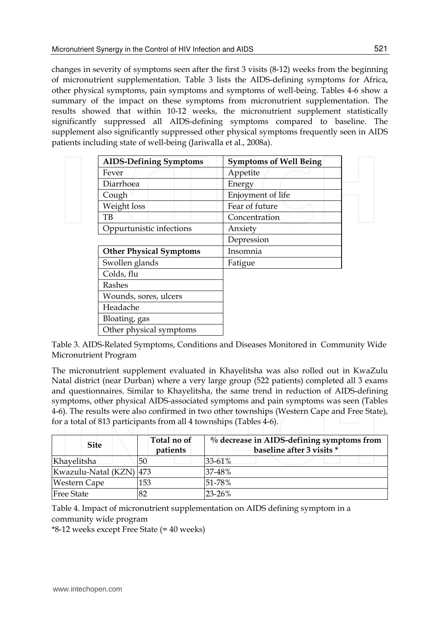changes in severity of symptoms seen after the first 3 visits (8-12) weeks from the beginning of micronutrient supplementation. Table 3 lists the AIDS-defining symptoms for Africa, other physical symptoms, pain symptoms and symptoms of well-being. Tables 4-6 show a summary of the impact on these symptoms from micronutrient supplementation. The results showed that within 10-12 weeks, the micronutrient supplement statistically significantly suppressed all AIDS-defining symptoms compared to baseline. The supplement also significantly suppressed other physical symptoms frequently seen in AIDS patients including state of well-being (Jariwalla et al., 2008a).

| <b>AIDS-Defining Symptoms</b>  | <b>Symptoms of Well Being</b> |
|--------------------------------|-------------------------------|
| Fever                          | Appetite                      |
| Diarrhoea                      | Energy                        |
| Cough                          | Enjoyment of life             |
| Weight loss                    | Fear of future                |
| TВ                             | Concentration                 |
| Oppurtunistic infections       | Anxiety                       |
|                                | Depression                    |
| <b>Other Physical Symptoms</b> | Insomnia                      |
| Swollen glands                 | Fatigue                       |
| Colds, flu                     |                               |
| Rashes                         |                               |
| Wounds, sores, ulcers          |                               |
| Headache                       |                               |
| Bloating, gas                  |                               |
| Other physical symptoms        |                               |

Table 3. AIDS-Related Symptoms, Conditions and Diseases Monitored in Community Wide Micronutrient Program

The micronutrient supplement evaluated in Khayelitsha was also rolled out in KwaZulu Natal district (near Durban) where a very large group (522 patients) completed all 3 exams and questionnaires. Similar to Khayelitsha, the same trend in reduction of AIDS-defining symptoms, other physical AIDS-associated symptoms and pain symptoms was seen (Tables 4-6). The results were also confirmed in two other townships (Western Cape and Free State), for a total of 813 participants from all 4 townships (Tables 4-6).

| <b>Site</b>             | Total no of<br>patients | % decrease in AIDS-defining symptoms from<br>baseline after 3 visits * |
|-------------------------|-------------------------|------------------------------------------------------------------------|
| Khavelitsha             | 50                      | 33-61%                                                                 |
| Kwazulu-Natal (KZN) 473 |                         | 37-48%                                                                 |
| Western Cape            | 153                     | $51 - 78%$                                                             |
| <b>Free State</b>       | 82                      | 23-26%                                                                 |

Table 4. Impact of micronutrient supplementation on AIDS defining symptom in a community wide program

\*8-12 weeks except Free State (= 40 weeks)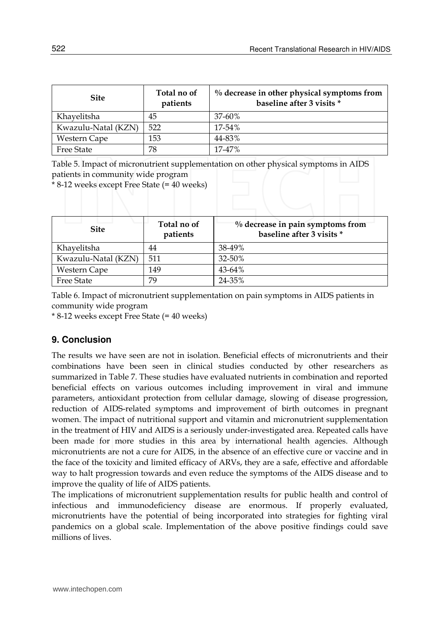| <b>Site</b>         | Total no of<br>patients | % decrease in other physical symptoms from<br>baseline after 3 visits * |
|---------------------|-------------------------|-------------------------------------------------------------------------|
| Khavelitsha         | 45                      | 37-60%                                                                  |
| Kwazulu-Natal (KZN) | 522                     | $17 - 54%$                                                              |
| Western Cape        | 153                     | 44-83%                                                                  |
| <b>Free State</b>   | 78                      | 17-47%                                                                  |

Table 5. Impact of micronutrient supplementation on other physical symptoms in AIDS patients in community wide program

\* 8-12 weeks except Free State (= 40 weeks)

| <b>Site</b>         | Total no of<br>patients | % decrease in pain symptoms from<br>baseline after 3 visits * |
|---------------------|-------------------------|---------------------------------------------------------------|
| Khayelitsha         | 44                      | 38-49%                                                        |
| Kwazulu-Natal (KZN) | 511                     | 32-50%                                                        |
| Western Cape        | 149                     | 43-64%                                                        |
| <b>Free State</b>   | 79                      | 24-35%                                                        |

Table 6. Impact of micronutrient supplementation on pain symptoms in AIDS patients in community wide program

\* 8-12 weeks except Free State (= 40 weeks)

# **9. Conclusion**

The results we have seen are not in isolation. Beneficial effects of micronutrients and their combinations have been seen in clinical studies conducted by other researchers as summarized in Table 7. These studies have evaluated nutrients in combination and reported beneficial effects on various outcomes including improvement in viral and immune parameters, antioxidant protection from cellular damage, slowing of disease progression, reduction of AIDS-related symptoms and improvement of birth outcomes in pregnant women. The impact of nutritional support and vitamin and micronutrient supplementation in the treatment of HIV and AIDS is a seriously under-investigated area. Repeated calls have been made for more studies in this area by international health agencies. Although micronutrients are not a cure for AIDS, in the absence of an effective cure or vaccine and in the face of the toxicity and limited efficacy of ARVs, they are a safe, effective and affordable way to halt progression towards and even reduce the symptoms of the AIDS disease and to improve the quality of life of AIDS patients.

The implications of micronutrient supplementation results for public health and control of infectious and immunodeficiency disease are enormous. If properly evaluated, micronutrients have the potential of being incorporated into strategies for fighting viral pandemics on a global scale. Implementation of the above positive findings could save millions of lives.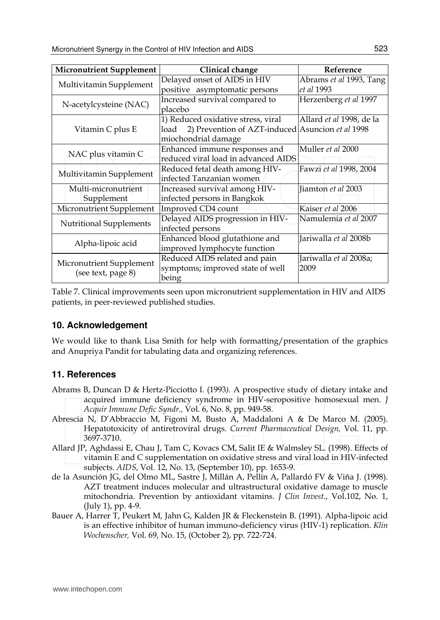| <b>Micronutrient Supplement</b> | Clinical change                                          | Reference                       |
|---------------------------------|----------------------------------------------------------|---------------------------------|
|                                 | Delayed onset of AIDS in HIV                             | Abrams et al 1993, Tang         |
| Multivitamin Supplement         | positive asymptomatic persons                            | et al 1993                      |
|                                 | Increased survival compared to                           | Herzenberg et al 1997           |
| N-acetylcysteine (NAC)          | placebo                                                  |                                 |
|                                 | 1) Reduced oxidative stress, viral                       | Allard <i>et al</i> 1998, de la |
| Vitamin C plus E                | 2) Prevention of AZT-induced Asuncion et al 1998<br>load |                                 |
|                                 | miochondrial damage                                      |                                 |
| NAC plus vitamin C              | Enhanced immune responses and                            | Muller et al 2000               |
|                                 | reduced viral load in advanced AIDS                      |                                 |
| Multivitamin Supplement         | Reduced fetal death among HIV-                           | Fawzi et al 1998, 2004          |
|                                 | infected Tanzanian women                                 |                                 |
| Multi-micronutrient             | Increased survival among HIV-                            | Iiamton et al 2003              |
| Supplement                      | infected persons in Bangkok                              |                                 |
| Micronutrient Supplement        | Improved CD4 count                                       | Kaiser et al 2006               |
| <b>Nutritional Supplements</b>  | Delayed AIDS progression in HIV-                         | Namulemia et al 2007            |
|                                 | infected persons                                         |                                 |
| Alpha-lipoic acid               | Enhanced blood glutathione and                           | Jariwalla et al 2008b           |
|                                 | improved lymphocyte function                             |                                 |
| Micronutrient Supplement        | Reduced AIDS related and pain                            | Jariwalla <i>et al</i> 2008a;   |
|                                 | symptoms; improved state of well                         | 2009                            |
| (see text, page 8)              | being                                                    |                                 |

Table 7. Clinical improvements seen upon micronutrient supplementation in HIV and AIDS patients, in peer-reviewed published studies.

## **10. Acknowledgement**

We would like to thank Lisa Smith for help with formatting/presentation of the graphics and Anupriya Pandit for tabulating data and organizing references.

# **11. References**

- Abrams B, Duncan D & Hertz-Picciotto I. (1993*).* A prospective study of dietary intake and acquired immune deficiency syndrome in HIV-seropositive homosexual men. *J Acquir Immune Defic Syndr.,* Vol. 6, No. 8, pp. 949-58.
- Abrescia N, D'Abbraccio M, Figoni M, Busto A, Maddaloni A & De Marco M. (2005). Hepatotoxicity of antiretroviral drugs. *Current Pharmaceutical Design,* Vol. 11, pp. 3697-3710.
- Allard JP, Aghdassi E, Chau J, Tam C, Kovacs CM, Salit IE & Walmsley SL. (1998). Effects of vitamin E and C supplementation on oxidative stress and viral load in HIV-infected subjects. *AIDS*, Vol. 12, No. 13, (September 10), pp. 1653-9.
- de la Asunción JG, del Olmo ML, Sastre J, Millán A, Pellín A, Pallardó FV & Viña J. (1998). AZT treatment induces molecular and ultrastructural oxidative damage to muscle mitochondria. Prevention by antioxidant vitamins. *J Clin Invest*., Vol.102, No. 1, (July 1), pp. 4-9.
- Bauer A, Harrer T, Peukert M, Jahn G, Kalden JR & Fleckenstein B. (1991). Alpha-lipoic acid is an effective inhibitor of human immuno-deficiency virus (HIV-1) replication. *Klin Wochenscher,* Vol*.* 69, No. 15, (October 2), pp. 722-724.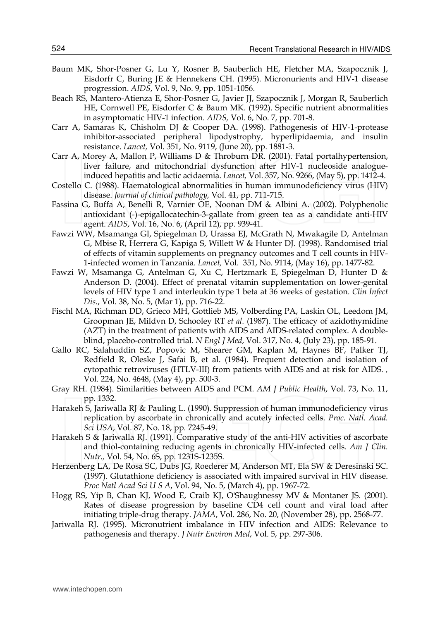- Baum MK, Shor-Posner G, Lu Y, Rosner B, Sauberlich HE, Fletcher MA, Szapocznik J, Eisdorfr C, Buring JE & Hennekens CH. (1995). Micronurients and HIV-1 disease progression. *AIDS*, Vol. 9, No. 9, pp. 1051-1056.
- Beach RS, Mantero-Atienza E, Shor-Posner G, Javier JJ, Szapocznik J, Morgan R, Sauberlich HE, Cornwell PE, Eisdorfer C & Baum MK. (1992). Specific nutrient abnormalities in asymptomatic HIV-1 infection. *AIDS,* Vol. 6, No. 7, pp. 701-8.
- Carr A, Samaras K, Chisholm DJ & Cooper DA. (1998). Pathogenesis of HIV-1-protease inhibitor-associated peripheral lipodystrophy, hyperlipidaemia, and insulin resistance. *Lancet,* Vol. 351, No. 9119, (June 20), pp. 1881-3.
- Carr A, Morey A, Mallon P, Williams D & Throburn DR. (2001). Fatal portalhypertension, liver failure, and mitochondrial dysfunction after HIV-1 nucleoside analogueinduced hepatitis and lactic acidaemia. *Lancet,* Vol. 357, No. 9266, (May 5), pp. 1412-4.
- Costello C. (1988). Haematological abnormalities in human immunodeficiency virus (HIV) disease. *Journal of clinical pathology,* Vol. 41, pp. 711-715.
- Fassina G, Buffa A, Benelli R, Varnier OE, Noonan DM & Albini A. (2002). Polyphenolic antioxidant (-)-epigallocatechin-3-gallate from green tea as a candidate anti-HIV agent. *AIDS*, Vol. 16, No. 6, (April 12), pp. 939-41.
- Fawzi WW, Msamanga GI, Spiegelman D, Urassa EJ, McGrath N, Mwakagile D, Antelman G, Mbise R, Herrera G, Kapiga S, Willett W & Hunter DJ. (1998). Randomised trial of effects of vitamin supplements on pregnancy outcomes and T cell counts in HIV-1-infected women in Tanzania. *Lancet,* Vol. 351, No. 9114, (May 16), pp. 1477-82.
- Fawzi W, Msamanga G, Antelman G, Xu C, Hertzmark E, Spiegelman D, Hunter D & Anderson D. (2004). Effect of prenatal vitamin supplementation on lower-genital levels of HIV type 1 and interleukin type 1 beta at 36 weeks of gestation. *Clin Infect Dis*., Vol. 38, No. 5, (Mar 1), pp. 716-22.
- Fischl MA, Richman DD, Grieco MH, Gottlieb MS, Volberding PA, Laskin OL, Leedom JM, Groopman JE, Mildvn D, Schooley RT *et al.* (1987). The efficacy of azidothymidine (AZT) in the treatment of patients with AIDS and AIDS-related complex. A doubleblind, placebo-controlled trial. *N Engl J Med*, Vol. 317, No. 4, (July 23), pp. 185-91.
- Gallo RC, Salahuddin SZ, Popovic M, Shearer GM, Kaplan M, Haynes BF, Palker TJ, Redfield R, Oleske J, Safai B, et al. (1984). Frequent detection and isolation of cytopathic retroviruses (HTLV-III) from patients with AIDS and at risk for AIDS. *,* Vol. 224, No. 4648, (May 4), pp. 500-3.
- Gray RH. (1984). Similarities between AIDS and PCM. *AM J Public Health*, Vol. 73, No. 11, pp. 1332.
- Harakeh S, Jariwalla RJ & Pauling L. (1990). Suppression of human immunodeficiency virus replication by ascorbate in chronically and acutely infected cells. *Proc. Natl. Acad. Sci USA*, Vol. 87, No. 18, pp. 7245-49.
- Harakeh S & Jariwalla RJ. (1991). Comparative study of the anti-HIV activities of ascorbate and thiol-containing reducing agents in chronically HIV-infected cells. *Am J Clin. Nutr.,* Vol. 54, No. 6S, pp. 1231S-1235S.
- Herzenberg LA, De Rosa SC, Dubs JG, Roederer M, Anderson MT, Ela SW & Deresinski SC. (1997). Glutathione deficiency is associated with impaired survival in HIV disease. *Proc Natl Acad Sci U S A*, Vol. 94, No. 5, (March 4), pp. 1967-72.
- Hogg RS, Yip B, Chan KJ, Wood E, Craib KJ, O'Shaughnessy MV & Montaner JS. (2001). Rates of disease progression by baseline CD4 cell count and viral load after initiating triple-drug therapy. *JAMA*, Vol. 286, No. 20, (November 28), pp. 2568-77.
- Jariwalla RJ. (1995). Micronutrient imbalance in HIV infection and AIDS: Relevance to pathogenesis and therapy. *J Nutr Environ Med*, Vol. 5, pp. 297-306.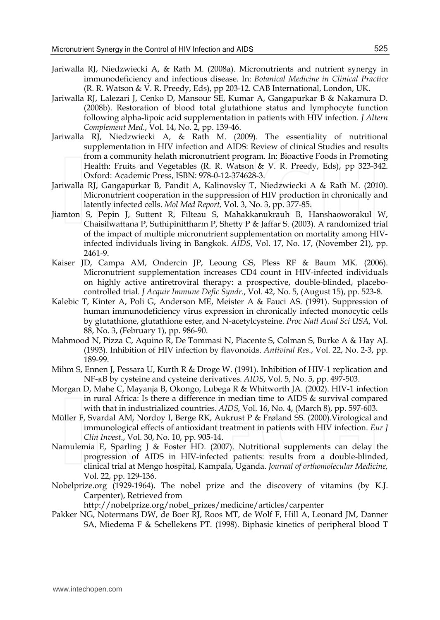- Jariwalla RJ, Niedzwiecki A, & Rath M. (2008a). Micronutrients and nutrient synergy in immunodeficiency and infectious disease. In: *Botanical Medicine in Clinical Practice* (R. R. Watson & V. R. Preedy, Eds), pp 203-12. CAB International, London, UK.
- Jariwalla RJ, Lalezari J, Cenko D, Mansour SE, Kumar A, Gangapurkar B & Nakamura D. (2008b). Restoration of blood total glutathione status and lymphocyte function following alpha-lipoic acid supplementation in patients with HIV infection. *J Altern Complement Med*., Vol. 14, No. 2, pp. 139-46.
- Jariwalla RJ, Niedzwiecki A, & Rath M. (2009). The essentiality of nutritional supplementation in HIV infection and AIDS: Review of clinical Studies and results from a community helath micronutrient program. In: Bioactive Foods in Promoting Health: Fruits and Vegetables (R. R. Watson & V. R. Preedy, Eds), pp 323-342. Oxford: Academic Press, ISBN: 978-0-12-374628-3.
- Jariwalla RJ, Gangapurkar B, Pandit A, Kalinovsky T, Niedzwiecki A & Rath M. (2010). Micronutrient cooperation in the suppression of HIV production in chronically and latently infected cells. *Mol Med Report,* Vol. 3, No. 3, pp. 377-85.
- Jiamton S, Pepin J, Suttent R, Filteau S, Mahakkanukrauh B, Hanshaoworakul W, Chaisilwattana P, Suthipinittharm P, Shetty P & Jaffar S. (2003). A randomized trial of the impact of multiple micronutrient supplementation on mortality among HIVinfected individuals living in Bangkok. *AIDS*, Vol. 17, No. 17, (November 21), pp. 2461-9.
- Kaiser JD, Campa AM, Ondercin JP, Leoung GS, Pless RF & Baum MK. (2006). Micronutrient supplementation increases CD4 count in HIV-infected individuals on highly active antiretroviral therapy: a prospective, double-blinded, placebocontrolled trial. *J Acquir Immune Defic Syndr*., Vol. 42, No. 5, (August 15), pp. 523-8.
- Kalebic T, Kinter A, Poli G, Anderson ME, Meister A & Fauci AS. (1991). Suppression of human immunodeficiency virus expression in chronically infected monocytic cells by glutathione, glutathione ester, and N-acetylcysteine. *Proc Natl Acad Sci USA,* Vol. 88, No. 3, (February 1), pp. 986-90.
- Mahmood N, Pizza C, Aquino R, De Tommasi N, Piacente S, Colman S, Burke A & Hay AJ. (1993). Inhibition of HIV infection by flavonoids. *Antiviral Res*., Vol. 22, No. 2-3, pp. 189-99.
- Mihm S, Ennen J, Pessara U, Kurth R & Droge W. (1991). Inhibition of HIV-1 replication and NF-κB by cysteine and cysteine derivatives. *AIDS*, Vol. 5, No. 5, pp. 497-503.
- Morgan D, Mahe C, Mayanja B, Okongo, Lubega R & Whitworth JA. (2002). HIV-1 infection in rural Africa: Is there a difference in median time to AIDS & survival compared with that in industrialized countries. *AIDS,* Vol. 16, No. 4, (March 8), pp. 597-603.
- Müller F, Svardal AM, Nordoy I, Berge RK, Aukrust P & Frøland SS. (2000).Virological and immunological effects of antioxidant treatment in patients with HIV infection. *Eur J Clin Invest*., Vol. 30, No. 10, pp. 905-14.
- Namulemia E, Sparling J & Foster HD. (2007). Nutritional supplements can delay the progression of AIDS in HIV-infected patients: results from a double-blinded, clinical trial at Mengo hospital, Kampala, Uganda. *Journal of orthomolecular Medicine,* Vol. 22, pp. 129-136.
- Nobelprize.org (1929-1964). The nobel prize and the discovery of vitamins (by K.J. Carpenter), Retrieved from

http://nobelprize.org/nobel\_prizes/medicine/articles/carpenter

Pakker NG, Notermans DW, de Boer RJ, Roos MT, de Wolf F, Hill A, Leonard JM, Danner SA, Miedema F & Schellekens PT. (1998). Biphasic kinetics of peripheral blood T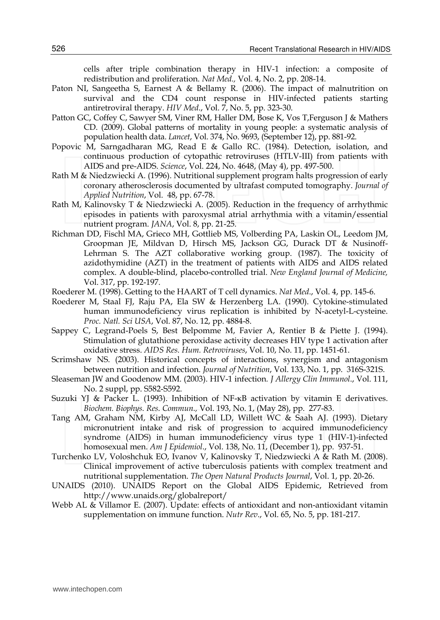cells after triple combination therapy in HIV-1 infection: a composite of redistribution and proliferation. *Nat Med.,* Vol. 4, No. 2, pp. 208-14.

- Paton NI, Sangeetha S, Earnest A & Bellamy R. (2006). The impact of malnutrition on survival and the CD4 count response in HIV-infected patients starting antiretroviral therapy. *HIV Med*., Vol. 7, No. 5, pp. 323-30.
- Patton GC, Coffey C, Sawyer SM, Viner RM, Haller DM, Bose K, Vos T, Ferguson J & Mathers CD. (2009). Global patterns of mortality in young people: a systematic analysis of population health data. *Lancet*, Vol. 374, No. 9693, (September 12), pp. 881-92.
- Popovic M, Sarngadharan MG, Read E & Gallo RC. (1984). Detection, isolation, and continuous production of cytopathic retroviruses (HTLV-III) from patients with AIDS and pre-AIDS. *Science*, Vol. 224, No. 4648, (May 4), pp. 497-500.
- Rath M & Niedzwiecki A. (1996). Nutritional supplement program halts progression of early coronary atherosclerosis documented by ultrafast computed tomography. *Journal of Applied Nutrition*, Vol. 48, pp. 67-78.
- Rath M, Kalinovsky T & Niedzwiecki A. (2005). Reduction in the frequency of arrhythmic episodes in patients with paroxysmal atrial arrhythmia with a vitamin/essential nutrient program. *JANA*, Vol. 8, pp. 21-25.
- Richman DD, Fischl MA, Grieco MH, Gottlieb MS, Volberding PA, Laskin OL, Leedom JM, Groopman JE, Mildvan D, Hirsch MS, Jackson GG, Durack DT & Nusinoff-Lehrman S. The AZT collaborative working group. (1987). The toxicity of azidothymidine (AZT) in the treatment of patients with AIDS and AIDS related complex. A double-blind, placebo-controlled trial. *New England Journal of Medicine,*  Vol. 317, pp. 192-197.
- Roederer M. (1998). Getting to the HAART of T cell dynamics. *Nat Med*., Vol. 4, pp. 145-6.
- Roederer M, Staal FJ, Raju PA, Ela SW & Herzenberg LA. (1990). Cytokine-stimulated human immunodeficiency virus replication is inhibited by N-acetyl-L-cysteine. *Proc. Natl. Sci USA*, Vol. 87, No. 12, pp. 4884-8.
- Sappey C, Legrand-Poels S, Best Belpomme M, Favier A, Rentier B & Piette J. (1994). Stimulation of glutathione peroxidase activity decreases HIV type 1 activation after oxidative stress. *AIDS Res. Hum. Retroviruses*, Vol. 10, No. 11, pp. 1451-61.
- Scrimshaw NS. (2003). Historical concepts of interactions, synergism and antagonism between nutrition and infection. *Journal of Nutrition*, Vol. 133, No. 1, pp. 316S-321S.
- Sleaseman JW and Goodenow MM. (2003). HIV-1 infection*. J Allergy Clin Immunol*., Vol. 111, No. 2 suppl, pp. S582-S592.
- Suzuki YJ & Packer L. (1993). Inhibition of NF-κB activation by vitamin E derivatives. *Biochem. Biophys. Res. Commun.,* Vol. 193, No. 1, (May 28), pp. 277-83.
- Tang AM, Graham NM, Kirby AJ, McCall LD, Willett WC & Saah AJ. (1993). Dietary micronutrient intake and risk of progression to acquired immunodeficiency syndrome (AIDS) in human immunodeficiency virus type 1 (HIV-1)-infected homosexual men. *Am J Epidemiol*., Vol. 138, No. 11, (December 1), pp. 937-51.
- Turchenko LV, Voloshchuk EO, Ivanov V, Kalinovsky T, Niedzwiecki A & Rath M. (2008). Clinical improvement of active tuberculosis patients with complex treatment and nutritional supplementation. *The Open Natural Products Journal*, Vol. 1, pp. 20-26.
- UNAIDS (2010). UNAIDS Report on the Global AIDS Epidemic, Retrieved from http://www.unaids.org/globalreport/
- Webb AL & Villamor E. (2007). Update: effects of antioxidant and non-antioxidant vitamin supplementation on immune function. *Nutr Rev*., Vol. 65, No. 5, pp. 181-217.